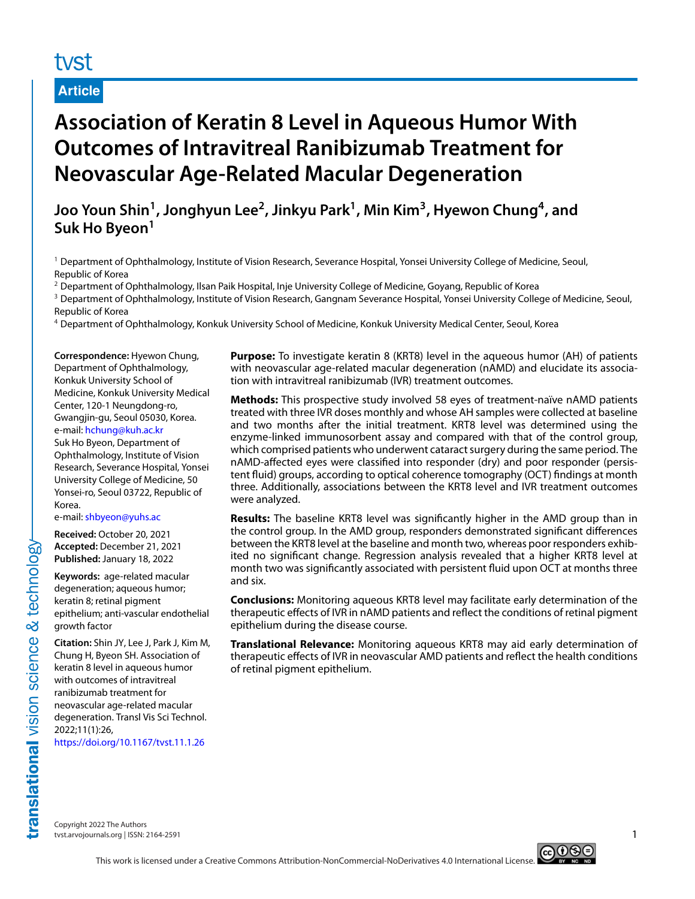# tyst

## **Article**

# **Association of Keratin 8 Level in Aqueous Humor With Outcomes of Intravitreal Ranibizumab Treatment for Neovascular Age-Related Macular Degeneration**

**Joo Youn Shin1, Jonghyun Lee2, Jinkyu Park1, Min Kim3, Hyewon Chung4, and Suk Ho Byeon<sup>1</sup>**

<sup>1</sup> Department of Ophthalmology, Institute of Vision Research, Severance Hospital, Yonsei University College of Medicine, Seoul, Republic of Korea

<sup>2</sup> Department of Ophthalmology, Ilsan Paik Hospital, Inje University College of Medicine, Goyang, Republic of Korea

<sup>3</sup> Department of Ophthalmology, Institute of Vision Research, Gangnam Severance Hospital, Yonsei University College of Medicine, Seoul, Republic of Korea

<sup>4</sup> Department of Ophthalmology, Konkuk University School of Medicine, Konkuk University Medical Center, Seoul, Korea

**Correspondence:** Hyewon Chung, Department of Ophthalmology, Konkuk University School of Medicine, Konkuk University Medical Center, 120-1 Neungdong-ro, Gwangjin-gu, Seoul 05030, Korea. e-mail: [hchung@kuh.ac.kr](mailto:hchung@kuh.ac.kr) Suk Ho Byeon, Department of Ophthalmology, Institute of Vision Research, Severance Hospital, Yonsei University College of Medicine, 50 Yonsei-ro, Seoul 03722, Republic of Korea.

e-mail: [shbyeon@yuhs.ac](mailto:shbyeon@yuhs.ac)

**Received:** October 20, 2021 **Accepted:** December 21, 2021 **Published:** January 18, 2022

**Keywords:** age-related macular degeneration; aqueous humor; keratin 8; retinal pigment epithelium; anti-vascular endothelial growth factor

**Citation:** Shin JY, Lee J, Park J, Kim M, Chung H, Byeon SH. Association of keratin 8 level in aqueous humor with outcomes of intravitreal ranibizumab treatment for neovascular age-related macular degeneration. Transl Vis Sci Technol. 2022;11(1):26,

<https://doi.org/10.1167/tvst.11.1.26>

**Purpose:** To investigate keratin 8 (KRT8) level in the aqueous humor (AH) of patients with neovascular age-related macular degeneration (nAMD) and elucidate its association with intravitreal ranibizumab (IVR) treatment outcomes.

**Methods:** This prospective study involved 58 eyes of treatment-naïve nAMD patients treated with three IVR doses monthly and whose AH samples were collected at baseline and two months after the initial treatment. KRT8 level was determined using the enzyme-linked immunosorbent assay and compared with that of the control group, which comprised patients who underwent cataract surgery during the same period. The nAMD-affected eyes were classified into responder (dry) and poor responder (persistent fluid) groups, according to optical coherence tomography (OCT) findings at month three. Additionally, associations between the KRT8 level and IVR treatment outcomes were analyzed.

**Results:** The baseline KRT8 level was significantly higher in the AMD group than in the control group. In the AMD group, responders demonstrated significant differences between the KRT8 level at the baseline and month two, whereas poor responders exhibited no significant change. Regression analysis revealed that a higher KRT8 level at month two was significantly associated with persistent fluid upon OCT at months three and six.

**Conclusions:** Monitoring aqueous KRT8 level may facilitate early determination of the therapeutic effects of IVR in nAMD patients and reflect the conditions of retinal pigment epithelium during the disease course.

**Translational Relevance:** Monitoring aqueous KRT8 may aid early determination of therapeutic effects of IVR in neovascular AMD patients and reflect the health conditions of retinal pigment epithelium.

Copyright 2022 The Authors tvst.arvojournals.org | ISSN: 2164-2591 1

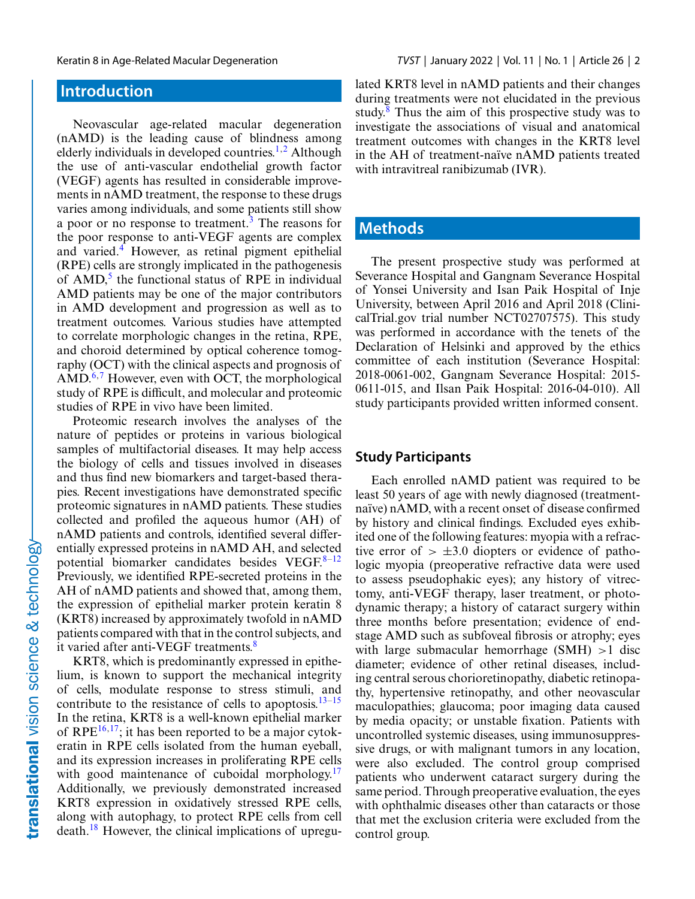# **Introduction**

Neovascular age-related macular degeneration (nAMD) is the leading cause of blindness among elderly individuals in developed countries.<sup>[1,2](#page-8-0)</sup> Although the use of anti-vascular endothelial growth factor (VEGF) agents has resulted in considerable improvements in nAMD treatment, the response to these drugs varies among individuals, and some patients still show a poor or no response to treatment.<sup>[3](#page-8-0)</sup> The reasons for the poor response to anti-VEGF agents are complex and varied.<sup>4</sup> However, as retinal pigment epithelial (RPE) cells are strongly implicated in the pathogenesis of  $AMD<sub>1</sub><sup>5</sup>$  the functional status of RPE in individual AMD patients may be one of the major contributors in AMD development and progression as well as to treatment outcomes. Various studies have attempted to correlate morphologic changes in the retina, RPE, and choroid determined by optical coherence tomography (OCT) with the clinical aspects and prognosis of  $\text{AMD}^{6,7}$  $\text{AMD}^{6,7}$  $\text{AMD}^{6,7}$  However, even with OCT, the morphological study of RPE is difficult, and molecular and proteomic studies of RPE in vivo have been limited.

Proteomic research involves the analyses of the nature of peptides or proteins in various biological samples of multifactorial diseases. It may help access the biology of cells and tissues involved in diseases and thus find new biomarkers and target-based therapies. Recent investigations have demonstrated specific proteomic signatures in nAMD patients. These studies collected and profiled the aqueous humor (AH) of nAMD patients and controls, identified several differentially expressed proteins in nAMD AH, and selected potential biomarker candidates besides VEGF. $8-12$ Previously, we identified RPE-secreted proteins in the AH of nAMD patients and showed that, among them, the expression of epithelial marker protein keratin 8 (KRT8) increased by approximately twofold in nAMD patients compared with that in the control subjects, and it varied after anti-VEGF treatments.<sup>[8](#page-9-0)</sup>

KRT8, which is predominantly expressed in epithelium, is known to support the mechanical integrity of cells, modulate response to stress stimuli, and contribute to the resistance of cells to apoptosis.<sup>13–15</sup> In the retina, KRT8 is a well-known epithelial marker of RPE $^{16,17}$ ; it has been reported to be a major cytokeratin in RPE cells isolated from the human eyeball, and its expression increases in proliferating RPE cells with good maintenance of cuboidal morphology. $17$ Additionally, we previously demonstrated increased KRT8 expression in oxidatively stressed RPE cells, along with autophagy, to protect RPE cells from cell death.[18](#page-9-0) However, the clinical implications of upregulated KRT8 level in nAMD patients and their changes during treatments were not elucidated in the previous study. $8$  Thus the aim of this prospective study was to investigate the associations of visual and anatomical treatment outcomes with changes in the KRT8 level in the AH of treatment-naïve nAMD patients treated with intravitreal ranibizumab (IVR).

## **Methods**

The present prospective study was performed at Severance Hospital and Gangnam Severance Hospital of Yonsei University and Isan Paik Hospital of Inje University, between April 2016 and April 2018 (ClinicalTrial.gov trial number NCT02707575). This study was performed in accordance with the tenets of the Declaration of Helsinki and approved by the ethics committee of each institution (Severance Hospital: 2018-0061-002, Gangnam Severance Hospital: 2015- 0611-015, and Ilsan Paik Hospital: 2016-04-010). All study participants provided written informed consent.

#### **Study Participants**

Each enrolled nAMD patient was required to be least 50 years of age with newly diagnosed (treatmentnaïve) nAMD, with a recent onset of disease confirmed by history and clinical findings. Excluded eyes exhibited one of the following features: myopia with a refractive error of  $> \pm 3.0$  diopters or evidence of pathologic myopia (preoperative refractive data were used to assess pseudophakic eyes); any history of vitrectomy, anti-VEGF therapy, laser treatment, or photodynamic therapy; a history of cataract surgery within three months before presentation; evidence of endstage AMD such as subfoveal fibrosis or atrophy; eyes with large submacular hemorrhage  $(SMH) > 1$  disc diameter; evidence of other retinal diseases, including central serous chorioretinopathy, diabetic retinopathy, hypertensive retinopathy, and other neovascular maculopathies; glaucoma; poor imaging data caused by media opacity; or unstable fixation. Patients with uncontrolled systemic diseases, using immunosuppressive drugs, or with malignant tumors in any location, were also excluded. The control group comprised patients who underwent cataract surgery during the same period. Through preoperative evaluation, the eyes with ophthalmic diseases other than cataracts or those that met the exclusion criteria were excluded from the control group.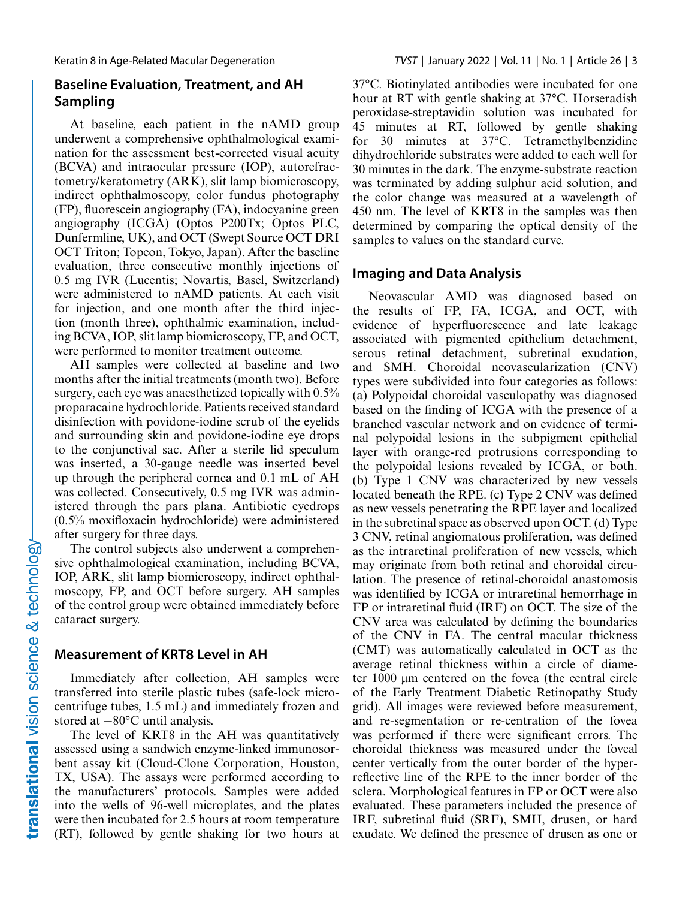#### **Baseline Evaluation, Treatment, and AH Sampling**

At baseline, each patient in the nAMD group underwent a comprehensive ophthalmological examination for the assessment best-corrected visual acuity (BCVA) and intraocular pressure (IOP), autorefractometry/keratometry (ARK), slit lamp biomicroscopy, indirect ophthalmoscopy, color fundus photography (FP), fluorescein angiography (FA), indocyanine green angiography (ICGA) (Optos P200Tx; Optos PLC, Dunfermline, UK), and OCT (Swept Source OCT DRI OCT Triton; Topcon, Tokyo, Japan). After the baseline evaluation, three consecutive monthly injections of 0.5 mg IVR (Lucentis; Novartis, Basel, Switzerland) were administered to nAMD patients. At each visit for injection, and one month after the third injection (month three), ophthalmic examination, including BCVA, IOP, slit lamp biomicroscopy, FP, and OCT, were performed to monitor treatment outcome.

AH samples were collected at baseline and two months after the initial treatments (month two). Before surgery, each eye was anaesthetized topically with 0.5% proparacaine hydrochloride. Patients received standard disinfection with povidone-iodine scrub of the eyelids and surrounding skin and povidone-iodine eye drops to the conjunctival sac. After a sterile lid speculum was inserted, a 30-gauge needle was inserted bevel up through the peripheral cornea and 0.1 mL of AH was collected. Consecutively, 0.5 mg IVR was administered through the pars plana. Antibiotic eyedrops (0.5% moxifloxacin hydrochloride) were administered after surgery for three days.

The control subjects also underwent a comprehensive ophthalmological examination, including BCVA, IOP, ARK, slit lamp biomicroscopy, indirect ophthalmoscopy, FP, and OCT before surgery. AH samples of the control group were obtained immediately before cataract surgery.

#### **Measurement of KRT8 Level in AH**

Immediately after collection, AH samples were transferred into sterile plastic tubes (safe-lock microcentrifuge tubes, 1.5 mL) and immediately frozen and stored at −80°C until analysis.

The level of KRT8 in the AH was quantitatively assessed using a sandwich enzyme-linked immunosorbent assay kit (Cloud-Clone Corporation, Houston, TX, USA). The assays were performed according to the manufacturers' protocols. Samples were added into the wells of 96-well microplates, and the plates were then incubated for 2.5 hours at room temperature (RT), followed by gentle shaking for two hours at

37°C. Biotinylated antibodies were incubated for one hour at RT with gentle shaking at 37°C. Horseradish peroxidase-streptavidin solution was incubated for 45 minutes at RT, followed by gentle shaking for 30 minutes at 37°C. Tetramethylbenzidine dihydrochloride substrates were added to each well for 30 minutes in the dark. The enzyme-substrate reaction was terminated by adding sulphur acid solution, and the color change was measured at a wavelength of 450 nm. The level of KRT8 in the samples was then determined by comparing the optical density of the samples to values on the standard curve.

#### **Imaging and Data Analysis**

Neovascular AMD was diagnosed based on the results of FP, FA, ICGA, and OCT, with evidence of hyperfluorescence and late leakage associated with pigmented epithelium detachment, serous retinal detachment, subretinal exudation, and SMH. Choroidal neovascularization (CNV) types were subdivided into four categories as follows: (a) Polypoidal choroidal vasculopathy was diagnosed based on the finding of ICGA with the presence of a branched vascular network and on evidence of terminal polypoidal lesions in the subpigment epithelial layer with orange-red protrusions corresponding to the polypoidal lesions revealed by ICGA, or both. (b) Type 1 CNV was characterized by new vessels located beneath the RPE. (c) Type 2 CNV was defined as new vessels penetrating the RPE layer and localized in the subretinal space as observed upon OCT. (d) Type 3 CNV, retinal angiomatous proliferation, was defined as the intraretinal proliferation of new vessels, which may originate from both retinal and choroidal circulation. The presence of retinal-choroidal anastomosis was identified by ICGA or intraretinal hemorrhage in FP or intraretinal fluid (IRF) on OCT. The size of the CNV area was calculated by defining the boundaries of the CNV in FA. The central macular thickness (CMT) was automatically calculated in OCT as the average retinal thickness within a circle of diameter 1000 μm centered on the fovea (the central circle of the Early Treatment Diabetic Retinopathy Study grid). All images were reviewed before measurement, and re-segmentation or re-centration of the fovea was performed if there were significant errors. The choroidal thickness was measured under the foveal center vertically from the outer border of the hyperreflective line of the RPE to the inner border of the sclera. Morphological features in FP or OCT were also evaluated. These parameters included the presence of IRF, subretinal fluid (SRF), SMH, drusen, or hard exudate. We defined the presence of drusen as one or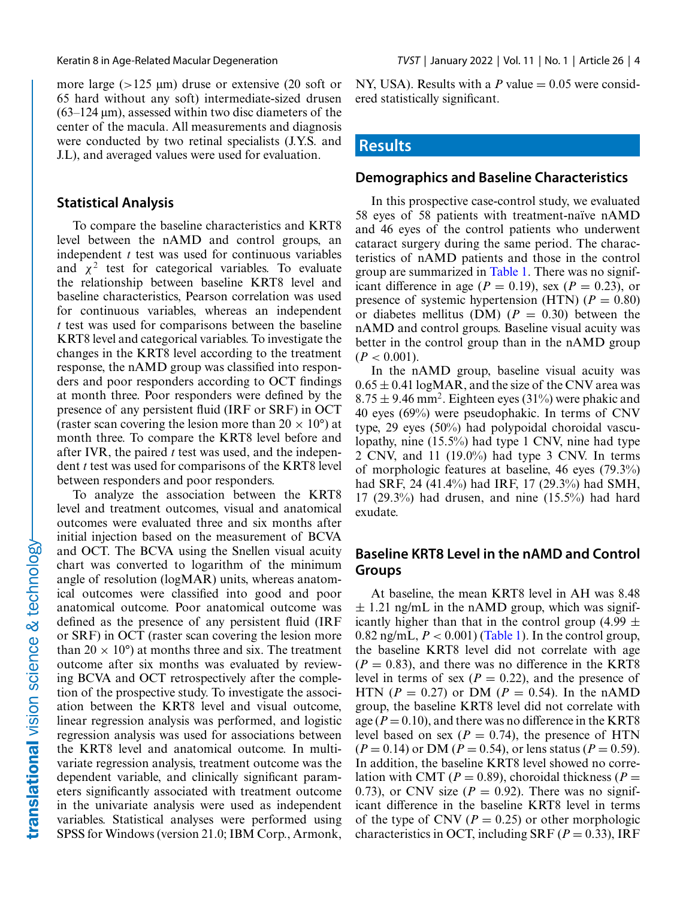more large (>125 μm) druse or extensive (20 soft or 65 hard without any soft) intermediate-sized drusen  $(63-124 \,\mu m)$ , assessed within two disc diameters of the center of the macula. All measurements and diagnosis were conducted by two retinal specialists (J.Y.S. and J.L), and averaged values were used for evaluation.

#### **Statistical Analysis**

To compare the baseline characteristics and KRT8 level between the nAMD and control groups, an independent *t* test was used for continuous variables and  $\chi^2$  test for categorical variables. To evaluate the relationship between baseline KRT8 level and baseline characteristics, Pearson correlation was used for continuous variables, whereas an independent *t* test was used for comparisons between the baseline KRT8 level and categorical variables. To investigate the changes in the KRT8 level according to the treatment response, the nAMD group was classified into responders and poor responders according to OCT findings at month three. Poor responders were defined by the presence of any persistent fluid (IRF or SRF) in OCT (raster scan covering the lesion more than  $20 \times 10^{\circ}$ ) at month three. To compare the KRT8 level before and after IVR, the paired *t* test was used, and the independent *t* test was used for comparisons of the KRT8 level between responders and poor responders.

To analyze the association between the KRT8 level and treatment outcomes, visual and anatomical outcomes were evaluated three and six months after initial injection based on the measurement of BCVA and OCT. The BCVA using the Snellen visual acuity chart was converted to logarithm of the minimum angle of resolution (logMAR) units, whereas anatomical outcomes were classified into good and poor anatomical outcome. Poor anatomical outcome was defined as the presence of any persistent fluid (IRF or SRF) in OCT (raster scan covering the lesion more than  $20 \times 10^{\circ}$  at months three and six. The treatment outcome after six months was evaluated by reviewing BCVA and OCT retrospectively after the completion of the prospective study. To investigate the association between the KRT8 level and visual outcome, linear regression analysis was performed, and logistic regression analysis was used for associations between the KRT8 level and anatomical outcome. In multivariate regression analysis, treatment outcome was the dependent variable, and clinically significant parameters significantly associated with treatment outcome in the univariate analysis were used as independent variables. Statistical analyses were performed using SPSS for Windows (version 21.0; IBM Corp., Armonk, NY, USA). Results with a  $P$  value  $= 0.05$  were considered statistically significant.

#### **Results**

#### **Demographics and Baseline Characteristics**

In this prospective case-control study, we evaluated 58 eyes of 58 patients with treatment-naïve nAMD and 46 eyes of the control patients who underwent cataract surgery during the same period. The characteristics of nAMD patients and those in the control group are summarized in [Table 1.](#page-4-0) There was no significant difference in age ( $P = 0.19$ ), sex ( $P = 0.23$ ), or presence of systemic hypertension (HTN)  $(P = 0.80)$ or diabetes mellitus (DM)  $(P = 0.30)$  between the nAMD and control groups. Baseline visual acuity was better in the control group than in the nAMD group  $(P < 0.001)$ .

In the nAMD group, baseline visual acuity was  $0.65 \pm 0.41$  logMAR, and the size of the CNV area was  $8.75 \pm 9.46$  mm<sup>2</sup>. Eighteen eyes (31%) were phakic and 40 eyes (69%) were pseudophakic. In terms of CNV type, 29 eyes (50%) had polypoidal choroidal vasculopathy, nine (15.5%) had type 1 CNV, nine had type 2 CNV, and 11 (19.0%) had type 3 CNV. In terms of morphologic features at baseline, 46 eyes (79.3%) had SRF, 24 (41.4%) had IRF, 17 (29.3%) had SMH, 17 (29.3%) had drusen, and nine (15.5%) had hard exudate.

#### **Baseline KRT8 Level in the nAMD and Control Groups**

At baseline, the mean KRT8 level in AH was 8.48  $\pm$  1.21 ng/mL in the nAMD group, which was significantly higher than that in the control group (4.99  $\pm$ 0.82 ng/mL,  $P < 0.001$ ) [\(Table 1\)](#page-4-0). In the control group, the baseline KRT8 level did not correlate with age  $(P = 0.83)$ , and there was no difference in the KRT8 level in terms of sex  $(P = 0.22)$ , and the presence of HTN ( $P = 0.27$ ) or DM ( $P = 0.54$ ). In the nAMD group, the baseline KRT8 level did not correlate with age  $(P = 0.10)$ , and there was no difference in the KRT8 level based on sex ( $P = 0.74$ ), the presence of HTN  $(P = 0.14)$  or DM  $(P = 0.54)$ , or lens status  $(P = 0.59)$ . In addition, the baseline KRT8 level showed no correlation with CMT ( $P = 0.89$ ), choroidal thickness ( $P =$ 0.73), or CNV size  $(P = 0.92)$ . There was no significant difference in the baseline KRT8 level in terms of the type of CNV ( $P = 0.25$ ) or other morphologic characteristics in OCT, including SRF ( $P = 0.33$ ), IRF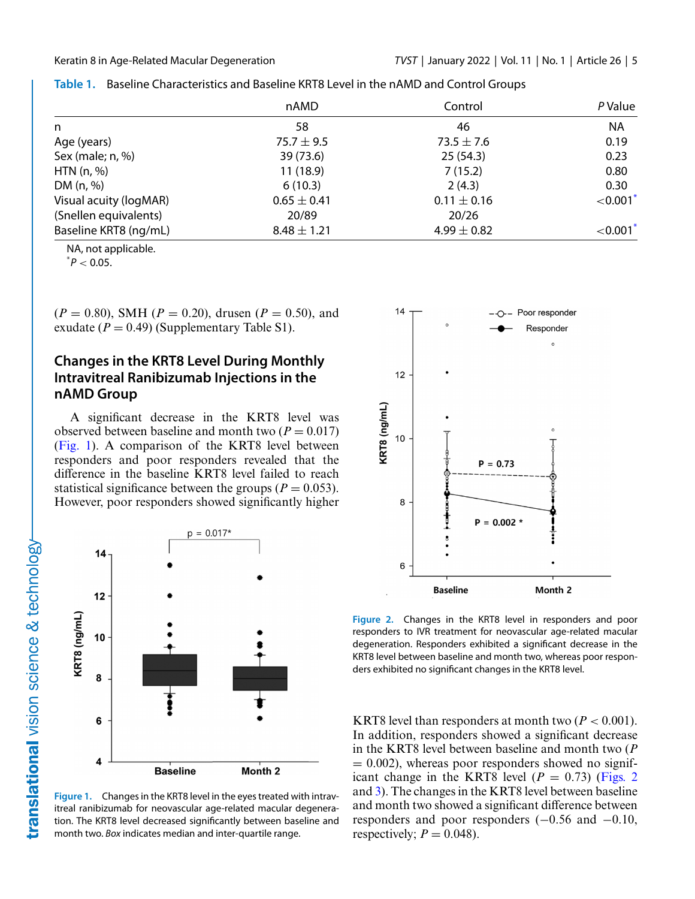|                        | nAMD            | Control         | P Value                |  |
|------------------------|-----------------|-----------------|------------------------|--|
| n                      | 58              | 46              | <b>NA</b>              |  |
| Age (years)            | 75.7 $\pm$ 9.5  | $73.5 \pm 7.6$  | 0.19                   |  |
| Sex (male; n, %)       | 39 (73.6)       | 25(54.3)        | 0.23                   |  |
| HTN $(n, %)$           | 11(18.9)        | 7(15.2)         | 0.80                   |  |
| DM (n, %)              | 6(10.3)         | 2(4.3)          | 0.30                   |  |
| Visual acuity (logMAR) | $0.65 \pm 0.41$ | $0.11 \pm 0.16$ | $< 0.001$ <sup>2</sup> |  |
| (Snellen equivalents)  | 20/89           | 20/26           |                        |  |
| Baseline KRT8 (ng/mL)  | $8.48 \pm 1.21$ | 4.99 $\pm$ 0.82 | ${<}0.001*$            |  |

<span id="page-4-0"></span>

|  | Table 1. Baseline Characteristics and Baseline KRT8 Level in the nAMD and Control Groups |  |
|--|------------------------------------------------------------------------------------------|--|
|--|------------------------------------------------------------------------------------------|--|

NA, not applicable.

 $^*P < 0.05$ .

 $(P = 0.80)$ , SMH ( $P = 0.20$ ), drusen ( $P = 0.50$ ), and exudate  $(P = 0.49)$  (Supplementary Table S1).

#### **Changes in the KRT8 Level During Monthly Intravitreal Ranibizumab Injections in the nAMD Group**

A significant decrease in the KRT8 level was observed between baseline and month two  $(P = 0.017)$ (Fig. 1). A comparison of the KRT8 level between responders and poor responders revealed that the difference in the baseline KRT8 level failed to reach statistical significance between the groups ( $P = 0.053$ ). However, poor responders showed significantly higher



**Figure 1.** Changes in the KRT8 level in the eyes treated with intravitreal ranibizumab for neovascular age-related macular degeneration. The KRT8 level decreased significantly between baseline and month two. *Box* indicates median and inter-quartile range.



**Figure 2.** Changes in the KRT8 level in responders and poor responders to IVR treatment for neovascular age-related macular degeneration. Responders exhibited a significant decrease in the KRT8 level between baseline and month two, whereas poor responders exhibited no significant changes in the KRT8 level.

KRT8 level than responders at month two  $(P < 0.001)$ . In addition, responders showed a significant decrease in the KRT8 level between baseline and month two (*P*  $= 0.002$ ), whereas poor responders showed no significant change in the KRT8 level  $(P = 0.73)$  (Figs. 2) and [3\)](#page-5-0). The changes in the KRT8 level between baseline and month two showed a significant difference between responders and poor responders (−0.56 and −0.10, respectively;  $P = 0.048$ ).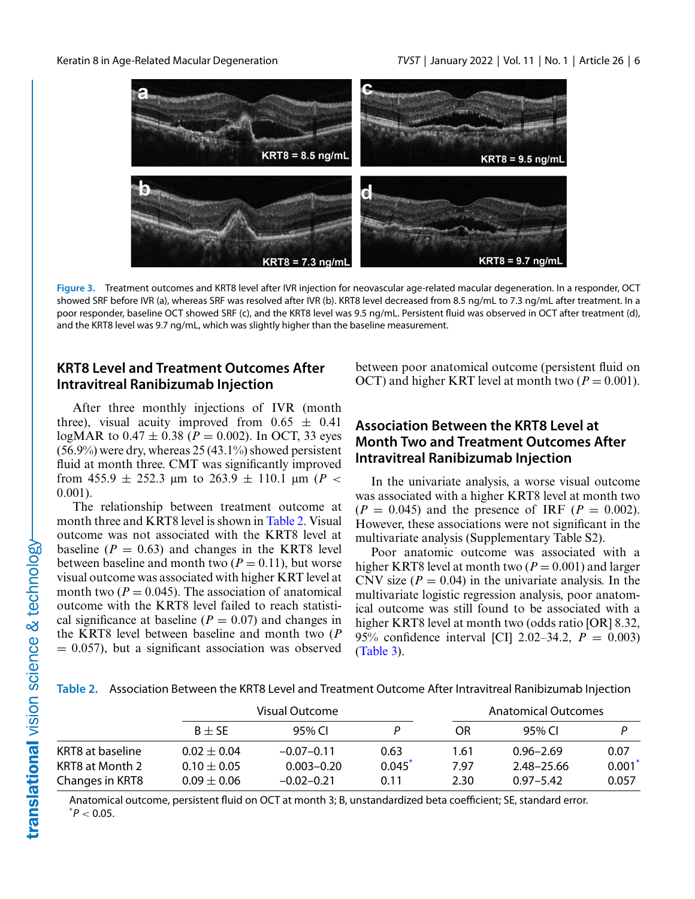<span id="page-5-0"></span>

**Figure 3.** Treatment outcomes and KRT8 level after IVR injection for neovascular age-related macular degeneration. In a responder, OCT showed SRF before IVR (a), whereas SRF was resolved after IVR (b). KRT8 level decreased from 8.5 ng/mL to 7.3 ng/mL after treatment. In a poor responder, baseline OCT showed SRF (c), and the KRT8 level was 9.5 ng/mL. Persistent fluid was observed in OCT after treatment (d), and the KRT8 level was 9.7 ng/mL, which was slightly higher than the baseline measurement.

#### **KRT8 Level and Treatment Outcomes After Intravitreal Ranibizumab Injection**

After three monthly injections of IVR (month three), visual acuity improved from  $0.65 \pm 0.41$ logMAR to  $0.47 \pm 0.38$  ( $P = 0.002$ ). In OCT, 33 eyes  $(56.9\%)$  were dry, whereas 25 (43.1%) showed persistent fluid at month three. CMT was significantly improved from 455.9  $\pm$  252.3  $\mu$ m to 263.9  $\pm$  110.1  $\mu$ m (*P <* 0.001).

The relationship between treatment outcome at month three and KRT8 level is shown in Table 2. Visual outcome was not associated with the KRT8 level at baseline  $(P = 0.63)$  and changes in the KRT8 level between baseline and month two  $(P = 0.11)$ , but worse visual outcome was associated with higher KRT level at month two  $(P = 0.045)$ . The association of anatomical outcome with the KRT8 level failed to reach statistical significance at baseline  $(P = 0.07)$  and changes in the KRT8 level between baseline and month two (*P*  $= 0.057$ , but a significant association was observed between poor anatomical outcome (persistent fluid on OCT) and higher KRT level at month two  $(P = 0.001)$ .

### **Association Between the KRT8 Level at Month Two and Treatment Outcomes After Intravitreal Ranibizumab Injection**

In the univariate analysis, a worse visual outcome was associated with a higher KRT8 level at month two  $(P = 0.045)$  and the presence of IRF  $(P = 0.002)$ . However, these associations were not significant in the multivariate analysis (Supplementary Table S2).

Poor anatomic outcome was associated with a higher KRT8 level at month two  $(P = 0.001)$  and larger CNV size  $(P = 0.04)$  in the univariate analysis. In the multivariate logistic regression analysis, poor anatomical outcome was still found to be associated with a higher KRT8 level at month two (odds ratio [OR] 8.32, 95% confidence interval [CI] 2.02–34.2, *P* = 0.003) [\(Table 3\)](#page-6-0).

**Table 2.** Association Between the KRT8 Level and Treatment Outcome After Intravitreal Ranibizumab Injection

|                  |                 | Visual Outcome |        |      | Anatomical Outcomes |       |  |  |
|------------------|-----------------|----------------|--------|------|---------------------|-------|--|--|
|                  | $B + SE$        | 95% CL         |        | OR.  | 95% CL              |       |  |  |
| KRT8 at baseline | $0.02 + 0.04$   | $-0.07-0.11$   | 0.63   | 1.61 | $0.96 - 2.69$       | 0.07  |  |  |
| KRT8 at Month 2  | $0.10 + 0.05$   | $0.003 - 0.20$ | 0.045' | 7.97 | 2.48-25.66          | 0.001 |  |  |
| Changes in KRT8  | $0.09 \pm 0.06$ | $-0.02 - 0.21$ | 0.11   | 2.30 | $0.97 - 5.42$       | 0.057 |  |  |

Anatomical outcome, persistent fluid on OCT at month 3; B, unstandardized beta coefficient; SE, standard error.  $^*P < 0.05$ .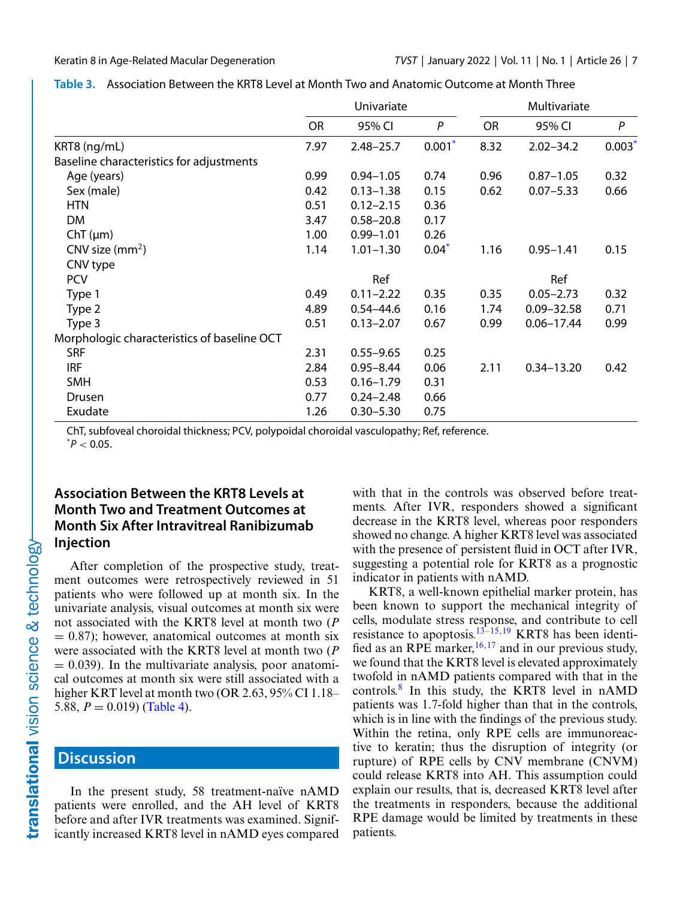|                                             | Univariate |               |          | Multivariate |                |          |
|---------------------------------------------|------------|---------------|----------|--------------|----------------|----------|
|                                             | <b>OR</b>  | 95% CI        | P        | <b>OR</b>    | 95% CI         | P        |
| KRT8 (ng/mL)                                | 7.97       | $2.48 - 25.7$ | $0.001*$ | 8.32         | $2.02 - 34.2$  | $0.003*$ |
| Baseline characteristics for adjustments    |            |               |          |              |                |          |
| Age (years)                                 | 0.99       | $0.94 - 1.05$ | 0.74     | 0.96         | $0.87 - 1.05$  | 0.32     |
| Sex (male)                                  | 0.42       | $0.13 - 1.38$ | 0.15     | 0.62         | $0.07 - 5.33$  | 0.66     |
| <b>HTN</b>                                  | 0.51       | $0.12 - 2.15$ | 0.36     |              |                |          |
| DM                                          | 3.47       | $0.58 - 20.8$ | 0.17     |              |                |          |
| $ChT(\mu m)$                                | 1.00       | $0.99 - 1.01$ | 0.26     |              |                |          |
| CNV size $(mm2)$                            | 1.14       | $1.01 - 1.30$ | $0.04*$  | 1.16         | $0.95 - 1.41$  | 0.15     |
| CNV type                                    |            |               |          |              |                |          |
| <b>PCV</b>                                  |            | Ref           |          |              | Ref            |          |
| Type 1                                      | 0.49       | $0.11 - 2.22$ | 0.35     | 0.35         | $0.05 - 2.73$  | 0.32     |
| Type 2                                      | 4.89       | $0.54 - 44.6$ | 0.16     | 1.74         | $0.09 - 32.58$ | 0.71     |
| Type 3                                      | 0.51       | $0.13 - 2.07$ | 0.67     | 0.99         | $0.06 - 17.44$ | 0.99     |
| Morphologic characteristics of baseline OCT |            |               |          |              |                |          |
| <b>SRF</b>                                  | 2.31       | $0.55 - 9.65$ | 0.25     |              |                |          |
| <b>IRF</b>                                  | 2.84       | $0.95 - 8.44$ | 0.06     | 2.11         | $0.34 - 13.20$ | 0.42     |
| <b>SMH</b>                                  | 0.53       | $0.16 - 1.79$ | 0.31     |              |                |          |
| Drusen                                      | 0.77       | $0.24 - 2.48$ | 0.66     |              |                |          |
| Exudate                                     | 1.26       | $0.30 - 5.30$ | 0.75     |              |                |          |

#### <span id="page-6-0"></span>**Table 3.** Association Between the KRT8 Level at Month Two and Anatomic Outcome at Month Three

ChT, subfoveal choroidal thickness; PCV, polypoidal choroidal vasculopathy; Ref, reference.

 $^*P < 0.05$ .

### **Association Between the KRT8 Levels at Month Two and Treatment Outcomes at Month Six After Intravitreal Ranibizumab Injection**

After completion of the prospective study, treatment outcomes were retrospectively reviewed in 51 patients who were followed up at month six. In the univariate analysis, visual outcomes at month six were not associated with the KRT8 level at month two (*P*  $= 0.87$ ); however, anatomical outcomes at month six were associated with the KRT8 level at month two (*P*  $= 0.039$ ). In the multivariate analysis, poor anatomical outcomes at month six were still associated with a higher KRT level at month two (OR 2.63, 95% CI 1.18– 5.88,  $P = 0.019$  [\(Table 4\)](#page-7-0).

# **Discussion**

In the present study, 58 treatment-naïve nAMD patients were enrolled, and the AH level of KRT8 before and after IVR treatments was examined. Significantly increased KRT8 level in nAMD eyes compared

with that in the controls was observed before treatments. After IVR, responders showed a significant decrease in the KRT8 level, whereas poor responders showed no change. A higher KRT8 level was associated with the presence of persistent fluid in OCT after IVR, suggesting a potential role for KRT8 as a prognostic indicator in patients with nAMD.

KRT8, a well-known epithelial marker protein, has been known to support the mechanical integrity of cells, modulate stress response, and contribute to cell resistance to apoptosis.<sup>[13–15,19](#page-9-0)</sup> KRT8 has been identified as an RPE marker,  $16,17$  and in our previous study, we found that the KRT8 level is elevated approximately twofold in nAMD patients compared with that in the controls.[8](#page-9-0) In this study, the KRT8 level in nAMD patients was 1.7-fold higher than that in the controls, which is in line with the findings of the previous study. Within the retina, only RPE cells are immunoreactive to keratin; thus the disruption of integrity (or rupture) of RPE cells by CNV membrane (CNVM) could release KRT8 into AH. This assumption could explain our results, that is, decreased KRT8 level after the treatments in responders, because the additional RPE damage would be limited by treatments in these patients.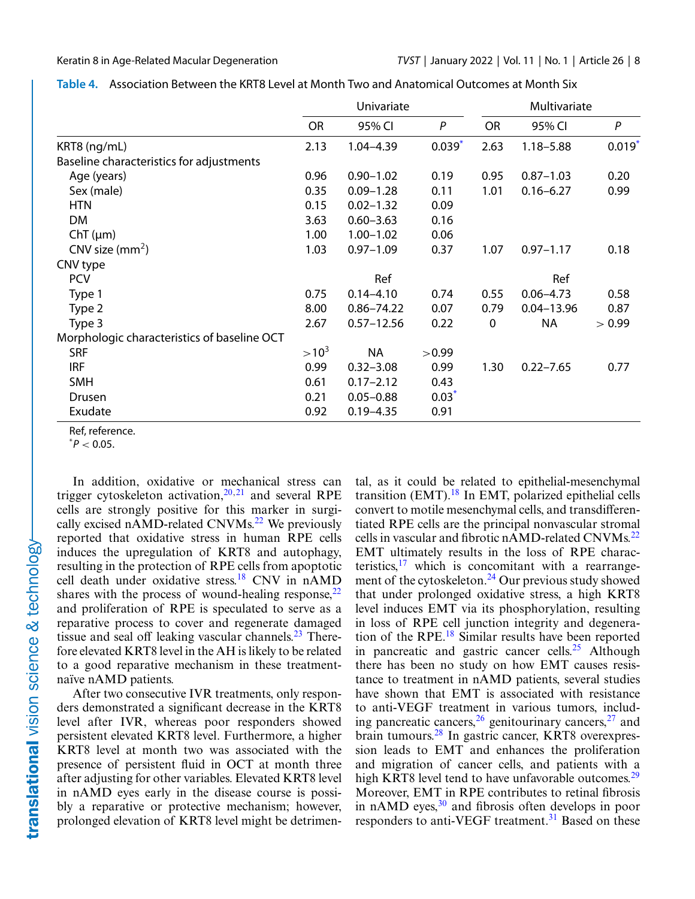|                                             | Univariate |                |             | Multivariate |                |                  |
|---------------------------------------------|------------|----------------|-------------|--------------|----------------|------------------|
|                                             | <b>OR</b>  | 95% CI         | P           | <b>OR</b>    | 95% CI         | $\boldsymbol{P}$ |
| KRT8 (ng/mL)                                | 2.13       | $1.04 - 4.39$  | $0.039^{*}$ | 2.63         | $1.18 - 5.88$  | $0.019*$         |
| Baseline characteristics for adjustments    |            |                |             |              |                |                  |
| Age (years)                                 | 0.96       | $0.90 - 1.02$  | 0.19        | 0.95         | $0.87 - 1.03$  | 0.20             |
| Sex (male)                                  | 0.35       | $0.09 - 1.28$  | 0.11        | 1.01         | $0.16 - 6.27$  | 0.99             |
| <b>HTN</b>                                  | 0.15       | $0.02 - 1.32$  | 0.09        |              |                |                  |
| <b>DM</b>                                   | 3.63       | $0.60 - 3.63$  | 0.16        |              |                |                  |
| $ChT(\mu m)$                                | 1.00       | $1.00 - 1.02$  | 0.06        |              |                |                  |
| CNV size $(mm2)$                            | 1.03       | $0.97 - 1.09$  | 0.37        | 1.07         | $0.97 - 1.17$  | 0.18             |
| CNV type                                    |            |                |             |              |                |                  |
| <b>PCV</b>                                  |            | Ref            |             |              | Ref            |                  |
| Type 1                                      | 0.75       | $0.14 - 4.10$  | 0.74        | 0.55         | $0.06 - 4.73$  | 0.58             |
| Type 2                                      | 8.00       | $0.86 - 74.22$ | 0.07        | 0.79         | $0.04 - 13.96$ | 0.87             |
| Type 3                                      | 2.67       | $0.57 - 12.56$ | 0.22        | 0            | <b>NA</b>      | > 0.99           |
| Morphologic characteristics of baseline OCT |            |                |             |              |                |                  |
| <b>SRF</b>                                  | $>10^3$    | <b>NA</b>      | >0.99       |              |                |                  |
| <b>IRF</b>                                  | 0.99       | $0.32 - 3.08$  | 0.99        | 1.30         | $0.22 - 7.65$  | 0.77             |
| <b>SMH</b>                                  | 0.61       | $0.17 - 2.12$  | 0.43        |              |                |                  |
| Drusen                                      | 0.21       | $0.05 - 0.88$  | $0.03*$     |              |                |                  |
| Exudate                                     | 0.92       | $0.19 - 4.35$  | 0.91        |              |                |                  |

<span id="page-7-0"></span>

| Table 4. Association Between the KRT8 Level at Month Two and Anatomical Outcomes at Month Six |  |
|-----------------------------------------------------------------------------------------------|--|
|-----------------------------------------------------------------------------------------------|--|

Ref, reference.

 $^*P < 0.05$ .

In addition, oxidative or mechanical stress can trigger cytoskeleton activation, $20,21$  and several RPE cells are strongly positive for this marker in surgi-cally excised nAMD-related CNVMs.<sup>[22](#page-9-0)</sup> We previously reported that oxidative stress in human RPE cells induces the upregulation of KRT8 and autophagy, resulting in the protection of RPE cells from apoptotic cell death under oxidative stress[.18](#page-9-0) CNV in nAMD shares with the process of wound-healing response,  $22$ and proliferation of RPE is speculated to serve as a reparative process to cover and regenerate damaged tissue and seal off leaking vascular channels. $^{23}$  Therefore elevated KRT8 level in the AH is likely to be related to a good reparative mechanism in these treatmentnaïve nAMD patients.

After two consecutive IVR treatments, only responders demonstrated a significant decrease in the KRT8 level after IVR, whereas poor responders showed persistent elevated KRT8 level. Furthermore, a higher KRT8 level at month two was associated with the presence of persistent fluid in OCT at month three after adjusting for other variables. Elevated KRT8 level in nAMD eyes early in the disease course is possibly a reparative or protective mechanism; however, prolonged elevation of KRT8 level might be detrimen-

tal, as it could be related to epithelial-mesenchymal transition (EMT). $^{18}$  $^{18}$  $^{18}$  In EMT, polarized epithelial cells convert to motile mesenchymal cells, and transdifferentiated RPE cells are the principal nonvascular stromal cells in vascular and fibrotic nAMD-related CNVMs.<sup>22</sup> EMT ultimately results in the loss of RPE characteristics, $17$  which is concomitant with a rearrangement of the cytoskeleton.<sup>24</sup> Our previous study showed that under prolonged oxidative stress, a high KRT8 level induces EMT via its phosphorylation, resulting in loss of RPE cell junction integrity and degeneration of the RPE[.18](#page-9-0) Similar results have been reported in pancreatic and gastric cancer cells.<sup>[25](#page-9-0)</sup> Although there has been no study on how EMT causes resistance to treatment in nAMD patients, several studies have shown that EMT is associated with resistance to anti-VEGF treatment in various tumors, including pancreatic cancers,  $26$  genitourinary cancers,  $27$  and brain tumours[.28](#page-9-0) In gastric cancer, KRT8 overexpression leads to EMT and enhances the proliferation and migration of cancer cells, and patients with a high KRT8 level tend to have unfavorable outcomes.<sup>29</sup> Moreover, EMT in RPE contributes to retinal fibrosis in nAMD eyes, $30$  and fibrosis often develops in poor responders to anti-VEGF treatment.<sup>[31](#page-10-0)</sup> Based on these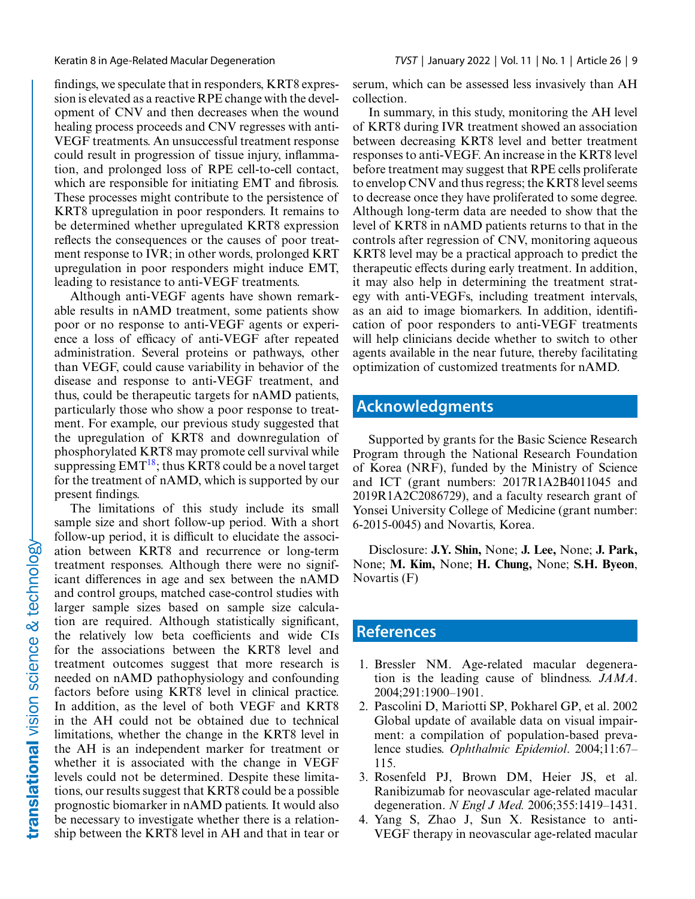<span id="page-8-0"></span>findings, we speculate that in responders, KRT8 expression is elevated as a reactive RPE change with the development of CNV and then decreases when the wound healing process proceeds and CNV regresses with anti-VEGF treatments. An unsuccessful treatment response could result in progression of tissue injury, inflammation, and prolonged loss of RPE cell-to-cell contact, which are responsible for initiating EMT and fibrosis. These processes might contribute to the persistence of KRT8 upregulation in poor responders. It remains to be determined whether upregulated KRT8 expression reflects the consequences or the causes of poor treatment response to IVR; in other words, prolonged KRT upregulation in poor responders might induce EMT, leading to resistance to anti-VEGF treatments.

Although anti-VEGF agents have shown remarkable results in nAMD treatment, some patients show poor or no response to anti-VEGF agents or experience a loss of efficacy of anti-VEGF after repeated administration. Several proteins or pathways, other than VEGF, could cause variability in behavior of the disease and response to anti-VEGF treatment, and thus, could be therapeutic targets for nAMD patients, particularly those who show a poor response to treatment. For example, our previous study suggested that the upregulation of KRT8 and downregulation of phosphorylated KRT8 may promote cell survival while suppressing  $EMT^{18}$ ; thus KRT8 could be a novel target for the treatment of nAMD, which is supported by our present findings.

The limitations of this study include its small sample size and short follow-up period. With a short follow-up period, it is difficult to elucidate the association between KRT8 and recurrence or long-term treatment responses. Although there were no significant differences in age and sex between the nAMD and control groups, matched case-control studies with larger sample sizes based on sample size calculation are required. Although statistically significant, the relatively low beta coefficients and wide CIs for the associations between the KRT8 level and treatment outcomes suggest that more research is needed on nAMD pathophysiology and confounding factors before using KRT8 level in clinical practice. In addition, as the level of both VEGF and KRT8 in the AH could not be obtained due to technical limitations, whether the change in the KRT8 level in the AH is an independent marker for treatment or whether it is associated with the change in VEGF levels could not be determined. Despite these limitations, our results suggest that KRT8 could be a possible prognostic biomarker in nAMD patients. It would also be necessary to investigate whether there is a relationship between the KRT8 level in AH and that in tear or serum, which can be assessed less invasively than AH collection.

In summary, in this study, monitoring the AH level of KRT8 during IVR treatment showed an association between decreasing KRT8 level and better treatment responses to anti-VEGF. An increase in the KRT8 level before treatment may suggest that RPE cells proliferate to envelop CNV and thus regress; the KRT8 level seems to decrease once they have proliferated to some degree. Although long-term data are needed to show that the level of KRT8 in nAMD patients returns to that in the controls after regression of CNV, monitoring aqueous KRT8 level may be a practical approach to predict the therapeutic effects during early treatment. In addition, it may also help in determining the treatment strategy with anti-VEGFs, including treatment intervals, as an aid to image biomarkers. In addition, identification of poor responders to anti-VEGF treatments will help clinicians decide whether to switch to other agents available in the near future, thereby facilitating optimization of customized treatments for nAMD.

# **Acknowledgments**

Supported by grants for the Basic Science Research Program through the National Research Foundation of Korea (NRF), funded by the Ministry of Science and ICT (grant numbers: 2017R1A2B4011045 and 2019R1A2C2086729), and a faculty research grant of Yonsei University College of Medicine (grant number: 6-2015-0045) and Novartis, Korea.

Disclosure: **J.Y. Shin,** None; **J. Lee,** None; **J. Park,** None; **M. Kim,** None; **H. Chung,** None; **S.H. Byeon**, Novartis (F)

### **References**

- 1. Bressler NM. Age-related macular degeneration is the leading cause of blindness. *JAMA*. 2004;291:1900–1901.
- 2. Pascolini D, Mariotti SP, Pokharel GP, et al. 2002 Global update of available data on visual impairment: a compilation of population-based prevalence studies. *Ophthalmic Epidemiol*. 2004;11:67– 115.
- 3. Rosenfeld PJ, Brown DM, Heier JS, et al. Ranibizumab for neovascular age-related macular degeneration. *N Engl J Med.* 2006;355:1419–1431.
- 4. Yang S, Zhao J, Sun X. Resistance to anti-VEGF therapy in neovascular age-related macular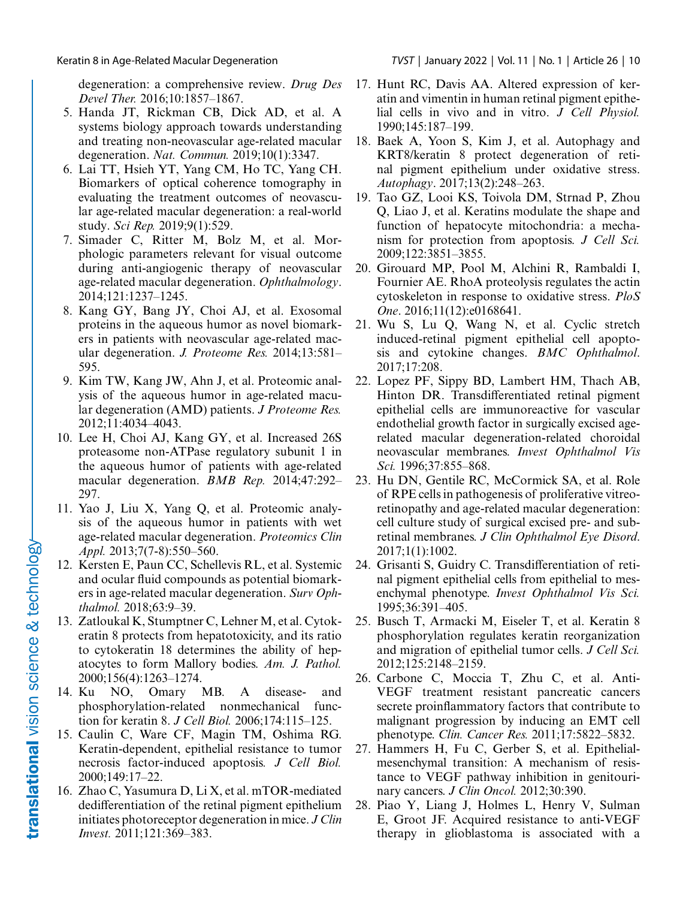<span id="page-9-0"></span>degeneration: a comprehensive review. *Drug Des Devel Ther.* 2016;10:1857–1867.

- 5. Handa JT, Rickman CB, Dick AD, et al. A systems biology approach towards understanding and treating non-neovascular age-related macular degeneration. *Nat. Commun.* 2019;10(1):3347.
- 6. Lai TT, Hsieh YT, Yang CM, Ho TC, Yang CH. Biomarkers of optical coherence tomography in evaluating the treatment outcomes of neovascular age-related macular degeneration: a real-world study. *Sci Rep.* 2019;9(1):529.
- 7. Simader C, Ritter M, Bolz M, et al. Morphologic parameters relevant for visual outcome during anti-angiogenic therapy of neovascular age-related macular degeneration. *Ophthalmology*. 2014;121:1237–1245.
- 8. Kang GY, Bang JY, Choi AJ, et al. Exosomal proteins in the aqueous humor as novel biomarkers in patients with neovascular age-related macular degeneration. *J. Proteome Res.* 2014;13:581– 595.
- 9. Kim TW, Kang JW, Ahn J, et al. Proteomic analysis of the aqueous humor in age-related macular degeneration (AMD) patients. *J Proteome Res.* 2012;11:4034–4043.
- 10. Lee H, Choi AJ, Kang GY, et al. Increased 26S proteasome non-ATPase regulatory subunit 1 in the aqueous humor of patients with age-related macular degeneration. *BMB Rep.* 2014;47:292– 297.
- 11. Yao J, Liu X, Yang Q, et al. Proteomic analysis of the aqueous humor in patients with wet age-related macular degeneration. *Proteomics Clin Appl.* 2013;7(7-8):550–560.
- 12. Kersten E, Paun CC, Schellevis RL, et al. Systemic and ocular fluid compounds as potential biomarkers in age-related macular degeneration. *Surv Ophthalmol.* 2018;63:9–39.
- 13. Zatloukal K, Stumptner C, Lehner M, et al. Cytokeratin 8 protects from hepatotoxicity, and its ratio to cytokeratin 18 determines the ability of hepatocytes to form Mallory bodies. *Am. J. Pathol.* 2000;156(4):1263–1274.
- 14. Ku NO, Omary MB. A disease- and phosphorylation-related nonmechanical function for keratin 8. *J Cell Biol.* 2006;174:115–125.
- 15. Caulin C, Ware CF, Magin TM, Oshima RG. Keratin-dependent, epithelial resistance to tumor necrosis factor-induced apoptosis*. J Cell Biol.* 2000;149:17–22.
- 16. Zhao C, Yasumura D, Li X, et al. mTOR-mediated dedifferentiation of the retinal pigment epithelium initiates photoreceptor degeneration in mice. *J Clin Invest.* 2011;121:369–383.
- 17. Hunt RC, Davis AA. Altered expression of keratin and vimentin in human retinal pigment epithelial cells in vivo and in vitro. *J Cell Physiol.* 1990;145:187–199.
- 18. Baek A, Yoon S, Kim J, et al. Autophagy and KRT8/keratin 8 protect degeneration of retinal pigment epithelium under oxidative stress. *Autophagy*. 2017;13(2):248–263.
- 19. Tao GZ, Looi KS, Toivola DM, Strnad P, Zhou Q, Liao J, et al. Keratins modulate the shape and function of hepatocyte mitochondria: a mechanism for protection from apoptosis. *J Cell Sci.* 2009;122:3851–3855.
- 20. Girouard MP, Pool M, Alchini R, Rambaldi I, Fournier AE. RhoA proteolysis regulates the actin cytoskeleton in response to oxidative stress. *PloS One*. 2016;11(12):e0168641.
- 21. Wu S, Lu Q, Wang N, et al. Cyclic stretch induced-retinal pigment epithelial cell apoptosis and cytokine changes. *BMC Ophthalmol*. 2017;17:208.
- 22. Lopez PF, Sippy BD, Lambert HM, Thach AB, Hinton DR. Transdifferentiated retinal pigment epithelial cells are immunoreactive for vascular endothelial growth factor in surgically excised agerelated macular degeneration-related choroidal neovascular membranes. *Invest Ophthalmol Vis Sci.* 1996;37:855–868.
- 23. Hu DN, Gentile RC, McCormick SA, et al. Role of RPE cells in pathogenesis of proliferative vitreoretinopathy and age-related macular degeneration: cell culture study of surgical excised pre- and subretinal membranes. *J Clin Ophthalmol Eye Disord*. 2017;1(1):1002.
- 24. Grisanti S, Guidry C. Transdifferentiation of retinal pigment epithelial cells from epithelial to mesenchymal phenotype. *Invest Ophthalmol Vis Sci.* 1995;36:391–405.
- 25. Busch T, Armacki M, Eiseler T, et al. Keratin 8 phosphorylation regulates keratin reorganization and migration of epithelial tumor cells. *J Cell Sci.* 2012;125:2148–2159.
- 26. Carbone C, Moccia T, Zhu C, et al. Anti-VEGF treatment resistant pancreatic cancers secrete proinflammatory factors that contribute to malignant progression by inducing an EMT cell phenotype. *Clin. Cancer Res.* 2011;17:5822–5832.
- 27. Hammers H, Fu C, Gerber S, et al. Epithelialmesenchymal transition: A mechanism of resistance to VEGF pathway inhibition in genitourinary cancers. *J Clin Oncol.* 2012;30:390.
- 28. Piao Y, Liang J, Holmes L, Henry V, Sulman E, Groot JF. Acquired resistance to anti-VEGF therapy in glioblastoma is associated with a